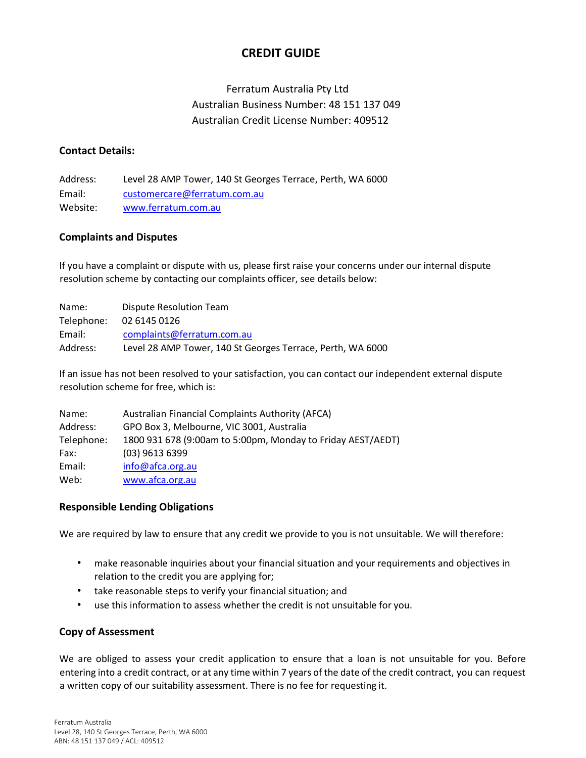# **CREDIT GUIDE**

# Ferratum Australia Pty Ltd Australian Business Number: 48 151 137 049 Australian Credit License Number: 409512

### **Contact Details:**

Address: Level 28 AMP Tower, 140 St Georges Terrace, Perth, WA 6000 Email: [customercare@ferratum.com.au](mailto:customercare@ferratum.com.au) Website: [www.ferratum.com.au](http://www.ferratum.com.au/)

### **Complaints and Disputes**

If you have a complaint or dispute with us, please first raise your concerns under our internal dispute resolution scheme by contacting our complaints officer, see details below:

| Name:      | Dispute Resolution Team                                    |
|------------|------------------------------------------------------------|
| Telephone: | 02 6145 0126                                               |
| Email:     | complaints@ferratum.com.au                                 |
| Address:   | Level 28 AMP Tower, 140 St Georges Terrace, Perth, WA 6000 |

If an issue has not been resolved to your satisfaction, you can contact our independent external dispute resolution scheme for free, which is:

| Name:      | <b>Australian Financial Complaints Authority (AFCA)</b>     |
|------------|-------------------------------------------------------------|
| Address:   | GPO Box 3, Melbourne, VIC 3001, Australia                   |
| Telephone: | 1800 931 678 (9:00am to 5:00pm, Monday to Friday AEST/AEDT) |
| Fax:       | $(03)$ 9613 6399                                            |
| Email:     | info@afca.org.au                                            |
| Web:       | www.afca.org.au                                             |

### **Responsible Lending Obligations**

We are required by law to ensure that any credit we provide to you is not unsuitable. We will therefore:

- make reasonable inquiries about your financial situation and your requirements and objectives in relation to the credit you are applying for;
- take reasonable steps to verify your financial situation; and
- use this information to assess whether the credit is not unsuitable for you.

## **Copy of Assessment**

We are obliged to assess your credit application to ensure that a loan is not unsuitable for you. Before entering into a credit contract, or at any time within 7 years of the date of the credit contract, you can request a written copy of our suitability assessment. There is no fee for requesting it.